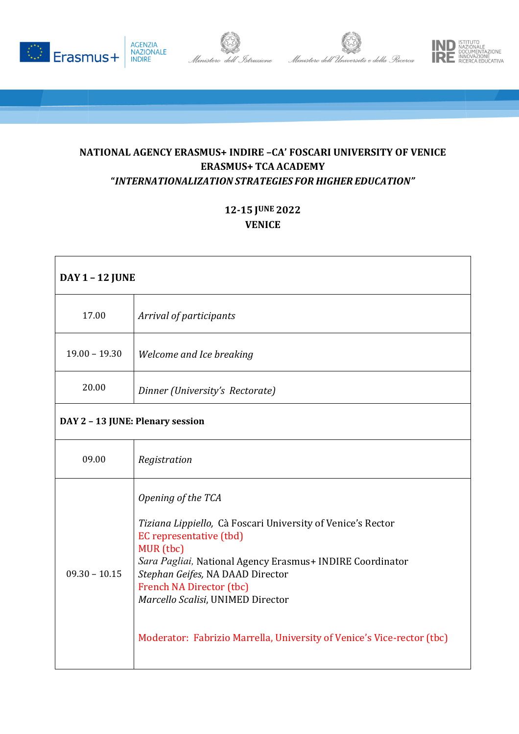







## **NATIONAL AGENCY ERASMUS+ INDIRE –CA' FOSCARI UNIVERSITY OF VENICE ERASMUS+ TCA ACADEMY "***INTERNATIONALIZATION STRATEGIES FOR HIGHER EDUCATION"*

## **12-15 JUNE 2022 VENICE**

| <b>DAY 1 - 12 JUNE</b>           |                                                                                                                                                                                                                                                                                                                                                                              |  |
|----------------------------------|------------------------------------------------------------------------------------------------------------------------------------------------------------------------------------------------------------------------------------------------------------------------------------------------------------------------------------------------------------------------------|--|
| 17.00                            | Arrival of participants                                                                                                                                                                                                                                                                                                                                                      |  |
| $19.00 - 19.30$                  | Welcome and Ice breaking                                                                                                                                                                                                                                                                                                                                                     |  |
| 20.00                            | Dinner (University's Rectorate)                                                                                                                                                                                                                                                                                                                                              |  |
| DAY 2 - 13 JUNE: Plenary session |                                                                                                                                                                                                                                                                                                                                                                              |  |
| 09.00                            | Registration                                                                                                                                                                                                                                                                                                                                                                 |  |
| $09.30 - 10.15$                  | Opening of the TCA<br>Tiziana Lippiello, Cà Foscari University of Venice's Rector<br>EC representative (tbd)<br>MUR (tbc)<br>Sara Pagliai, National Agency Erasmus+ INDIRE Coordinator<br>Stephan Geifes, NA DAAD Director<br><b>French NA Director (tbc)</b><br>Marcello Scalisi, UNIMED Director<br>Moderator: Fabrizio Marrella, University of Venice's Vice-rector (tbc) |  |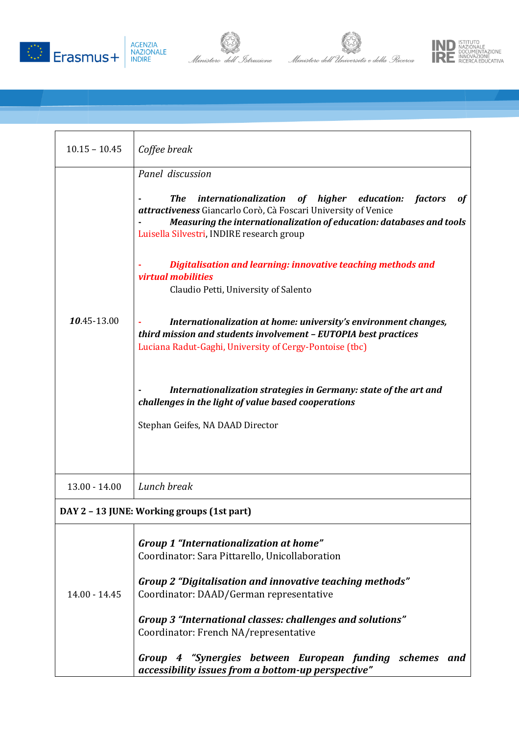







| $10.15 - 10.45$ | Coffee break                                                                                                                                                                                                                                                                                                 |
|-----------------|--------------------------------------------------------------------------------------------------------------------------------------------------------------------------------------------------------------------------------------------------------------------------------------------------------------|
|                 | Panel discussion                                                                                                                                                                                                                                                                                             |
|                 | internationalization<br>of higher education:<br><b>The</b><br><i>factors</i><br>of<br>attractiveness Giancarlo Corò, Cà Foscari University of Venice<br>Measuring the internationalization of education: databases and tools<br>Luisella Silvestri, INDIRE research group                                    |
| 10.45-13.00     | Digitalisation and learning: innovative teaching methods and<br>virtual mobilities<br>Claudio Petti, University of Salento                                                                                                                                                                                   |
|                 | Internationalization at home: university's environment changes,<br>third mission and students involvement - EUTOPIA best practices<br>Luciana Radut-Gaghi, University of Cergy-Pontoise (tbc)                                                                                                                |
|                 | Internationalization strategies in Germany: state of the art and<br>challenges in the light of value based cooperations<br>Stephan Geifes, NA DAAD Director                                                                                                                                                  |
| $13.00 - 14.00$ | Lunch break                                                                                                                                                                                                                                                                                                  |
|                 | DAY 2 - 13 JUNE: Working groups (1st part)                                                                                                                                                                                                                                                                   |
| $14.00 - 14.45$ | <b>Group 1 "Internationalization at home"</b><br>Coordinator: Sara Pittarello, Unicollaboration<br>Group 2 "Digitalisation and innovative teaching methods"<br>Coordinator: DAAD/German representative<br>Group 3 "International classes: challenges and solutions"<br>Coordinator: French NA/representative |
|                 | Group 4 "Synergies between European funding schemes and<br>accessibility issues from a bottom-up perspective"                                                                                                                                                                                                |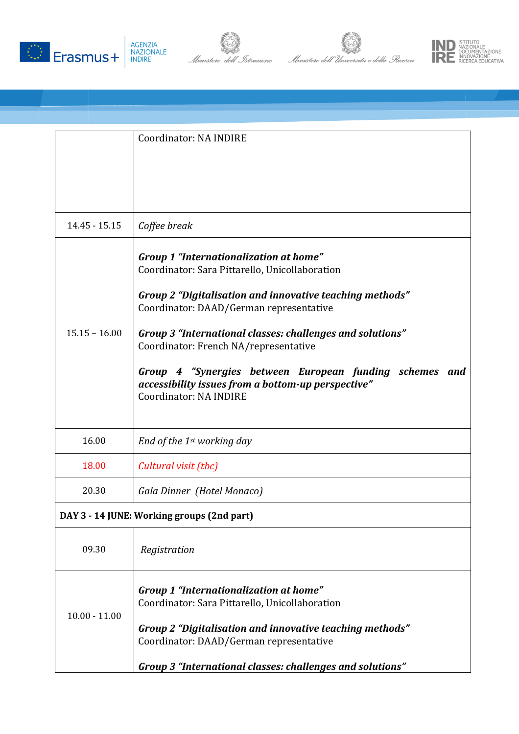







|                                            | Coordinator: NA INDIRE                                                                                                                                                                                                                                                                                                                                                                                                                                  |  |
|--------------------------------------------|---------------------------------------------------------------------------------------------------------------------------------------------------------------------------------------------------------------------------------------------------------------------------------------------------------------------------------------------------------------------------------------------------------------------------------------------------------|--|
|                                            |                                                                                                                                                                                                                                                                                                                                                                                                                                                         |  |
|                                            |                                                                                                                                                                                                                                                                                                                                                                                                                                                         |  |
| 14.45 - 15.15                              | Coffee break                                                                                                                                                                                                                                                                                                                                                                                                                                            |  |
| $15.15 - 16.00$                            | Group 1 "Internationalization at home"<br>Coordinator: Sara Pittarello, Unicollaboration<br>Group 2 "Digitalisation and innovative teaching methods"<br>Coordinator: DAAD/German representative<br>Group 3 "International classes: challenges and solutions"<br>Coordinator: French NA/representative<br>Group 4 "Synergies between European funding schemes and<br>accessibility issues from a bottom-up perspective"<br><b>Coordinator: NA INDIRE</b> |  |
| 16.00                                      | End of the 1st working day                                                                                                                                                                                                                                                                                                                                                                                                                              |  |
| 18.00                                      | Cultural visit (tbc)                                                                                                                                                                                                                                                                                                                                                                                                                                    |  |
| 20.30                                      | Gala Dinner (Hotel Monaco)                                                                                                                                                                                                                                                                                                                                                                                                                              |  |
| DAY 3 - 14 JUNE: Working groups (2nd part) |                                                                                                                                                                                                                                                                                                                                                                                                                                                         |  |
| 09.30                                      | Registration                                                                                                                                                                                                                                                                                                                                                                                                                                            |  |
| $10.00 - 11.00$                            | Group 1 "Internationalization at home"<br>Coordinator: Sara Pittarello, Unicollaboration<br>Group 2 "Digitalisation and innovative teaching methods"<br>Coordinator: DAAD/German representative<br>Group 3 "International classes: challenges and solutions"                                                                                                                                                                                            |  |